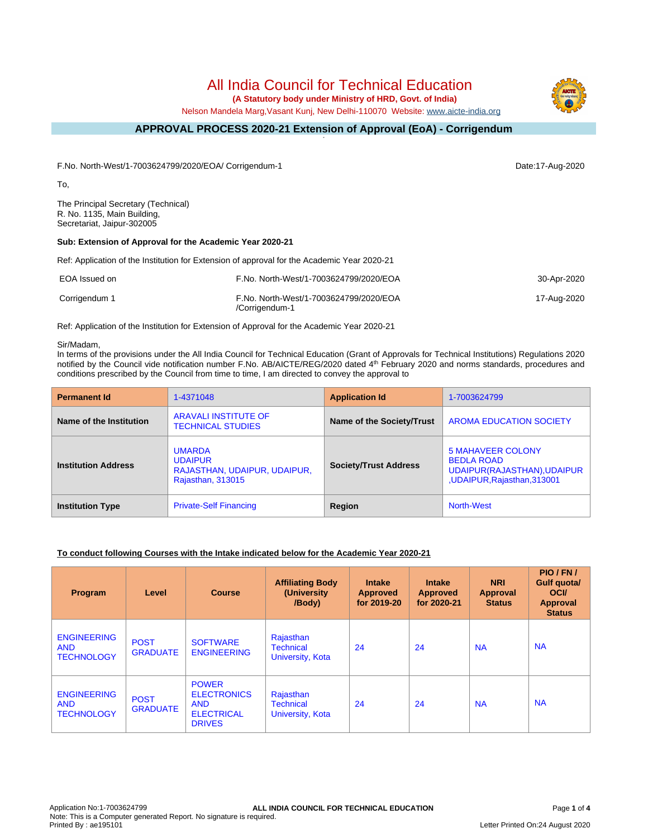# All India Council for Technical Education

 **(A Statutory body under Ministry of HRD, Govt. of India)**

Nelson Mandela Marg,Vasant Kunj, New Delhi-110070 Website: [www.aicte-india.org](http://www.aicte-india.org)

#### **APPROVAL PROCESS 2020-21 Extension of Approval (EoA) - Corrigendum -**

F.No. North-West/1-7003624799/2020/EOA/ Corrigendum-1 Date:17-Aug-2020

To,

The Principal Secretary (Technical) R. No. 1135, Main Building, Secretariat, Jaipur-302005

### **Sub: Extension of Approval for the Academic Year 2020-21**

Ref: Application of the Institution for Extension of approval for the Academic Year 2020-21

| EOA Issued on | F.No. North-West/1-7003624799/2020/EOA                   | 30-Apr-2020 |
|---------------|----------------------------------------------------------|-------------|
| Corrigendum 1 | F.No. North-West/1-7003624799/2020/EOA<br>/Corrigendum-1 | 17-Aug-2020 |

Ref: Application of the Institution for Extension of Approval for the Academic Year 2020-21

#### Sir/Madam,

In terms of the provisions under the All India Council for Technical Education (Grant of Approvals for Technical Institutions) Regulations 2020 notified by the Council vide notification number F.No. AB/AICTE/REG/2020 dated 4<sup>th</sup> February 2020 and norms standards, procedures and conditions prescribed by the Council from time to time, I am directed to convey the approval to

| <b>Permanent Id</b>        | 1-4371048                                                                                   | <b>Application Id</b>        | 1-7003624799                                                                                                 |
|----------------------------|---------------------------------------------------------------------------------------------|------------------------------|--------------------------------------------------------------------------------------------------------------|
| Name of the Institution    | <b>ARAVALI INSTITUTE OF</b><br><b>TECHNICAL STUDIES</b>                                     | Name of the Society/Trust    | <b>AROMA EDUCATION SOCIETY</b>                                                                               |
| <b>Institution Address</b> | <b>UMARDA</b><br><b>UDAIPUR</b><br>RAJASTHAN, UDAIPUR, UDAIPUR,<br><b>Rajasthan, 313015</b> | <b>Society/Trust Address</b> | <b>5 MAHAVEER COLONY</b><br><b>BEDLA ROAD</b><br>UDAIPUR(RAJASTHAN), UDAIPUR<br>, UDAIPUR, Rajasthan, 313001 |
| <b>Institution Type</b>    | <b>Private-Self Financing</b>                                                               | Region                       | North-West                                                                                                   |

#### **To conduct following Courses with the Intake indicated below for the Academic Year 2020-21**

| <b>Program</b>                                        | Level                          | <b>Course</b>                                                                          | <b>Affiliating Body</b><br>(University<br>/Body)  | <b>Intake</b><br><b>Approved</b><br>for 2019-20 | <b>Intake</b><br><b>Approved</b><br>for 2020-21 | <b>NRI</b><br><b>Approval</b><br><b>Status</b> | PIO/FN/<br>Gulf quota/<br><b>OCI</b><br>Approval<br><b>Status</b> |
|-------------------------------------------------------|--------------------------------|----------------------------------------------------------------------------------------|---------------------------------------------------|-------------------------------------------------|-------------------------------------------------|------------------------------------------------|-------------------------------------------------------------------|
| <b>ENGINEERING</b><br><b>AND</b><br><b>TECHNOLOGY</b> | <b>POST</b><br><b>GRADUATE</b> | <b>SOFTWARE</b><br><b>ENGINEERING</b>                                                  | Rajasthan<br><b>Technical</b><br>University, Kota | 24                                              | 24                                              | <b>NA</b>                                      | <b>NA</b>                                                         |
| <b>ENGINEERING</b><br><b>AND</b><br><b>TECHNOLOGY</b> | <b>POST</b><br><b>GRADUATE</b> | <b>POWER</b><br><b>ELECTRONICS</b><br><b>AND</b><br><b>ELECTRICAL</b><br><b>DRIVES</b> | Rajasthan<br><b>Technical</b><br>University, Kota | 24                                              | 24                                              | <b>NA</b>                                      | <b>NA</b>                                                         |

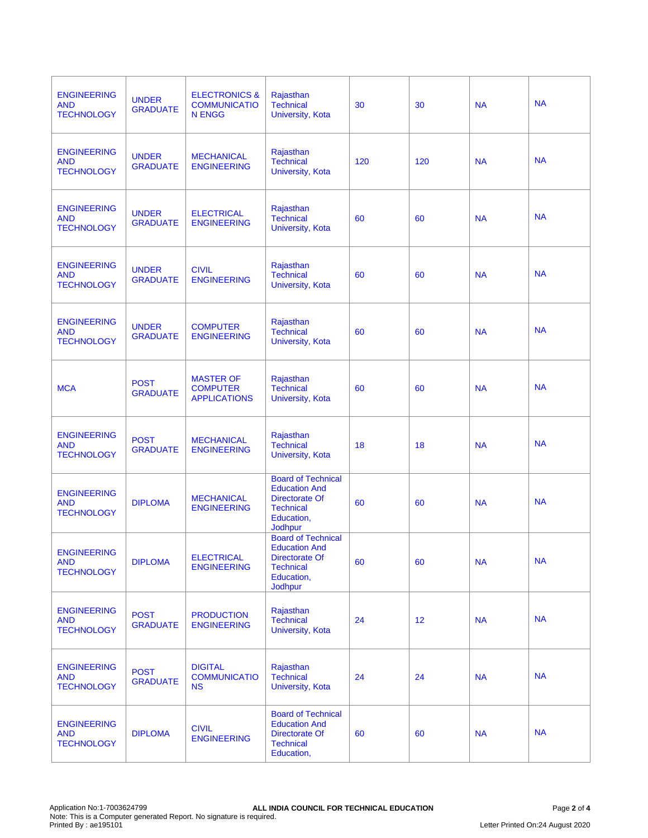| <b>ENGINEERING</b><br><b>AND</b><br><b>TECHNOLOGY</b> | <b>UNDER</b><br><b>GRADUATE</b> | <b>ELECTRONICS &amp;</b><br><b>COMMUNICATIO</b><br><b>N ENGG</b> | Rajasthan<br><b>Technical</b><br>University, Kota                                                                       | 30  | 30  | <b>NA</b> | <b>NA</b> |
|-------------------------------------------------------|---------------------------------|------------------------------------------------------------------|-------------------------------------------------------------------------------------------------------------------------|-----|-----|-----------|-----------|
| <b>ENGINEERING</b><br><b>AND</b><br><b>TECHNOLOGY</b> | <b>UNDER</b><br><b>GRADUATE</b> | <b>MECHANICAL</b><br><b>ENGINEERING</b>                          | Rajasthan<br><b>Technical</b><br>University, Kota                                                                       | 120 | 120 | <b>NA</b> | <b>NA</b> |
| <b>ENGINEERING</b><br><b>AND</b><br><b>TECHNOLOGY</b> | <b>UNDER</b><br><b>GRADUATE</b> | <b>ELECTRICAL</b><br><b>ENGINEERING</b>                          | Rajasthan<br><b>Technical</b><br>University, Kota                                                                       | 60  | 60  | <b>NA</b> | <b>NA</b> |
| <b>ENGINEERING</b><br><b>AND</b><br><b>TECHNOLOGY</b> | <b>UNDER</b><br><b>GRADUATE</b> | <b>CIVIL</b><br><b>ENGINEERING</b>                               | Rajasthan<br><b>Technical</b><br>University, Kota                                                                       | 60  | 60  | <b>NA</b> | <b>NA</b> |
| <b>ENGINEERING</b><br><b>AND</b><br><b>TECHNOLOGY</b> | <b>UNDER</b><br><b>GRADUATE</b> | <b>COMPUTER</b><br><b>ENGINEERING</b>                            | Rajasthan<br>Technical<br><b>University, Kota</b>                                                                       | 60  | 60  | <b>NA</b> | <b>NA</b> |
| <b>MCA</b>                                            | <b>POST</b><br><b>GRADUATE</b>  | <b>MASTER OF</b><br><b>COMPUTER</b><br><b>APPLICATIONS</b>       | Rajasthan<br><b>Technical</b><br>University, Kota                                                                       | 60  | 60  | <b>NA</b> | <b>NA</b> |
| <b>ENGINEERING</b><br><b>AND</b><br><b>TECHNOLOGY</b> | <b>POST</b><br><b>GRADUATE</b>  | <b>MECHANICAL</b><br><b>ENGINEERING</b>                          | Rajasthan<br><b>Technical</b><br><b>University, Kota</b>                                                                | 18  | 18  | <b>NA</b> | <b>NA</b> |
| <b>ENGINEERING</b><br><b>AND</b><br><b>TECHNOLOGY</b> | <b>DIPLOMA</b>                  | <b>MECHANICAL</b><br><b>ENGINEERING</b>                          | <b>Board of Technical</b><br><b>Education And</b><br>Directorate Of<br><b>Technical</b><br>Education,<br><b>Jodhpur</b> | 60  | 60  | <b>NA</b> | <b>NA</b> |
| <b>ENGINEERING</b><br><b>AND</b><br><b>TECHNOLOGY</b> | <b>DIPLOMA</b>                  | <b>ELECTRICAL</b><br><b>ENGINEERING</b>                          | <b>Board of Technical</b><br><b>Education And</b><br>Directorate Of<br><b>Technical</b><br>Education,<br>Jodhpur        | 60  | 60  | <b>NA</b> | <b>NA</b> |
| <b>ENGINEERING</b><br><b>AND</b><br><b>TECHNOLOGY</b> | <b>POST</b><br><b>GRADUATE</b>  | <b>PRODUCTION</b><br><b>ENGINEERING</b>                          | Rajasthan<br><b>Technical</b><br>University, Kota                                                                       | 24  | 12  | <b>NA</b> | <b>NA</b> |
| <b>ENGINEERING</b><br><b>AND</b><br><b>TECHNOLOGY</b> | <b>POST</b><br><b>GRADUATE</b>  | <b>DIGITAL</b><br><b>COMMUNICATIO</b><br><b>NS</b>               | Rajasthan<br><b>Technical</b><br><b>University, Kota</b>                                                                | 24  | 24  | <b>NA</b> | <b>NA</b> |
| <b>ENGINEERING</b><br><b>AND</b><br><b>TECHNOLOGY</b> | <b>DIPLOMA</b>                  | <b>CIVIL</b><br><b>ENGINEERING</b>                               | <b>Board of Technical</b><br><b>Education And</b><br>Directorate Of<br><b>Technical</b><br>Education,                   | 60  | 60  | <b>NA</b> | <b>NA</b> |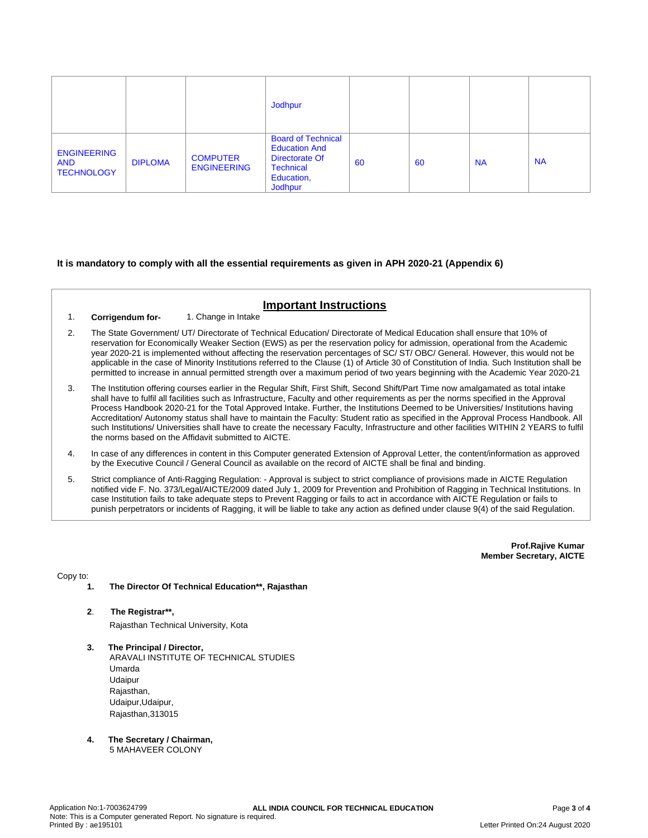|                                                       |                |                                       | Jodhpur                                                                                                                 |    |    |           |           |
|-------------------------------------------------------|----------------|---------------------------------------|-------------------------------------------------------------------------------------------------------------------------|----|----|-----------|-----------|
| <b>ENGINEERING</b><br><b>AND</b><br><b>TECHNOLOGY</b> | <b>DIPLOMA</b> | <b>COMPUTER</b><br><b>ENGINEERING</b> | <b>Board of Technical</b><br><b>Education And</b><br>Directorate Of<br><b>Technical</b><br>Education,<br><b>Jodhpur</b> | 60 | 60 | <b>NA</b> | <b>NA</b> |

### **It is mandatory to comply with all the essential requirements as given in APH 2020-21 (Appendix 6)**

# **Important Instructions**

- 1. **Corrigendum for-** 1. Change in Intake
- 2. The State Government/ UT/ Directorate of Technical Education/ Directorate of Medical Education shall ensure that 10% of reservation for Economically Weaker Section (EWS) as per the reservation policy for admission, operational from the Academic year 2020-21 is implemented without affecting the reservation percentages of SC/ ST/ OBC/ General. However, this would not be applicable in the case of Minority Institutions referred to the Clause (1) of Article 30 of Constitution of India. Such Institution shall be permitted to increase in annual permitted strength over a maximum period of two years beginning with the Academic Year 2020-21
- 3. The Institution offering courses earlier in the Regular Shift, First Shift, Second Shift/Part Time now amalgamated as total intake shall have to fulfil all facilities such as Infrastructure, Faculty and other requirements as per the norms specified in the Approval Process Handbook 2020-21 for the Total Approved Intake. Further, the Institutions Deemed to be Universities/ Institutions having Accreditation/ Autonomy status shall have to maintain the Faculty: Student ratio as specified in the Approval Process Handbook. All such Institutions/ Universities shall have to create the necessary Faculty, Infrastructure and other facilities WITHIN 2 YEARS to fulfil the norms based on the Affidavit submitted to AICTE.
- 4. In case of any differences in content in this Computer generated Extension of Approval Letter, the content/information as approved by the Executive Council / General Council as available on the record of AICTE shall be final and binding.
- 5. Strict compliance of Anti-Ragging Regulation: Approval is subject to strict compliance of provisions made in AICTE Regulation notified vide F. No. 373/Legal/AICTE/2009 dated July 1, 2009 for Prevention and Prohibition of Ragging in Technical Institutions. In case Institution fails to take adequate steps to Prevent Ragging or fails to act in accordance with AICTE Regulation or fails to punish perpetrators or incidents of Ragging, it will be liable to take any action as defined under clause 9(4) of the said Regulation.

**Prof.Rajive Kumar Member Secretary, AICTE**

Copy to:

- **1. The Director Of Technical Education\*\*, Rajasthan**
- **2**. **The Registrar\*\*,** Rajasthan Technical University, Kota
- **3. The Principal / Director,** ARAVALI INSTITUTE OF TECHNICAL STUDIES Umarda Udaipur Rajasthan, Udaipur,Udaipur, Rajasthan,313015
- **4. The Secretary / Chairman,** 5 MAHAVEER COLONY